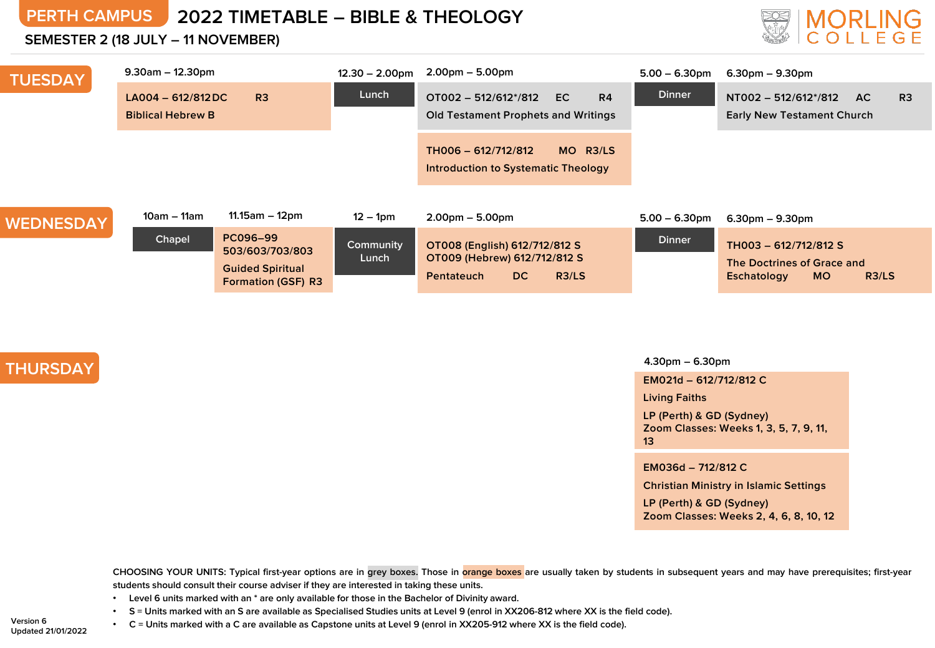## **PERTH CAMPUS 2022 TIMETABLE – BIBLE & THEOLOGY**

### **SEMESTER 2 (18 JULY – 11 NOVEMBER)**



| <b>TUESDAY</b>   | $9.30$ am – 12.30pm                                               |                                                                                     | $12.30 - 2.00$ pm  | $2.00pm - 5.00pm$                                                                                  | $5.00 - 6.30$ pm | $6.30pm - 9.30pm$                                                                        |  |
|------------------|-------------------------------------------------------------------|-------------------------------------------------------------------------------------|--------------------|----------------------------------------------------------------------------------------------------|------------------|------------------------------------------------------------------------------------------|--|
|                  | R <sub>3</sub><br>$LA004 - 612/812DC$<br><b>Biblical Hebrew B</b> |                                                                                     | Lunch              | $OTO02 - 512/612^*/812$<br>R4<br>EC.<br><b>Old Testament Prophets and Writings</b>                 | <b>Dinner</b>    | NT002 - 512/612*/812<br>AC.<br>R <sub>3</sub><br><b>Early New Testament Church</b>       |  |
|                  |                                                                   |                                                                                     |                    | TH006 - 612/712/812<br>MO R3/LS<br>Introduction to Systematic Theology                             |                  |                                                                                          |  |
| <b>WEDNESDAY</b> | 10am – 11am                                                       | $11.15$ am – 12pm                                                                   | $12 - 1pm$         | $2.00pm - 5.00pm$                                                                                  | $5.00 - 6.30$ pm | $6.30pm - 9.30pm$                                                                        |  |
|                  | Chapel                                                            | PC096-99<br>503/603/703/803<br><b>Guided Spiritual</b><br><b>Formation (GSF) R3</b> | Community<br>Lunch | OT008 (English) 612/712/812 S<br>OT009 (Hebrew) 612/712/812 S<br>R3/LS<br>DC.<br><b>Pentateuch</b> | <b>Dinner</b>    | TH003 - 612/712/812 S<br>The Doctrines of Grace and<br>R3/LS<br>Eschatology<br><b>MO</b> |  |

## **THURSDAY**

### **4.30pm – 6.30pm**

**EM021d – 612/712/812 C**

**Living Faiths**

**LP (Perth) & GD (Sydney) Zoom Classes: Weeks 1, 3, 5, 7, 9, 11, 13**

**EM036d – 712/812 C**

**Christian Ministry in Islamic Settings**

**LP (Perth) & GD (Sydney) Zoom Classes: Weeks 2, 4, 6, 8, 10, 12**

CHOOSING YOUR UNITS: Typical first-year options are in grey boxes. Those in orange boxes are usually taken by students in subsequent years and may have prerequisites; first-year **students should consult their course adviser if they are interested in taking these units.**

- **Level 6 units marked with an \* are only available for those in the Bachelor of Divinity award.**
- . S = Units marked with an S are available as Specialised Studies units at Level 9 (enrol in XX206-812 where XX is the field code).

**Version 6 Updated 21/01/2022** • C = Units marked with a C are available as Capstone units at Level 9 (enrol in XX205-912 where XX is the field code).